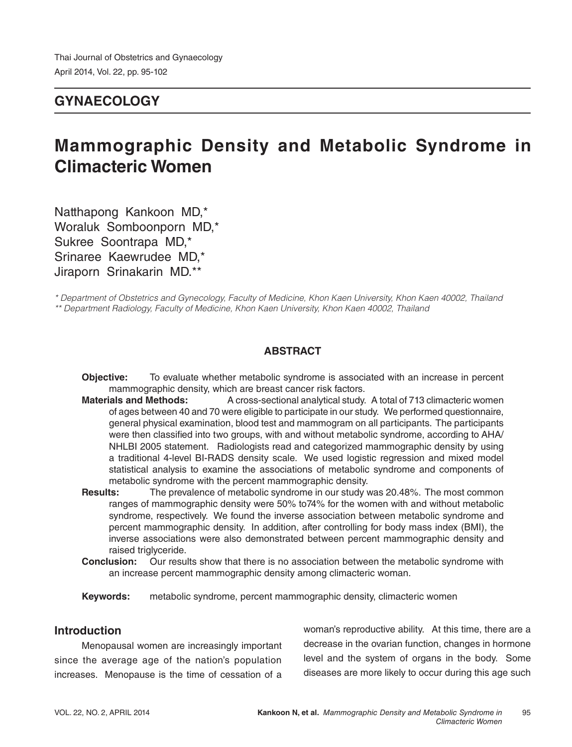### **GYNAECOLOGY**

# **Mammographic Density and Metabolic Syndrome in Climacteric Women**

Natthapong Kankoon MD,\* Woraluk Somboonporn MD,\* Sukree Soontrapa MD,\* Srinaree Kaewrudee MD,\* Jiraporn Srinakarin MD.\*\*

*\* Department of Obstetrics and Gynecology, Faculty of Medicine, Khon Kaen University, Khon Kaen 40002, Thailand \*\* Department Radiology, Faculty of Medicine, Khon Kaen University, Khon Kaen 40002, Thailand*

### **ABSTRACT**

- **Objective:** To evaluate whether metabolic syndrome is associated with an increase in percent mammographic density, which are breast cancer risk factors.
- **Materials and Methods:** A cross-sectional analytical study. A total of 713 climacteric women of ages between 40 and 70 were eligible to participate in our study. We performed questionnaire, general physical examination, blood test and mammogram on all participants. The participants were then classified into two groups, with and without metabolic syndrome, according to AHA/ NHLBI 2005 statement. Radiologists read and categorized mammographic density by using a traditional 4-level BI-RADS density scale. We used logistic regression and mixed model statistical analysis to examine the associations of metabolic syndrome and components of metabolic syndrome with the percent mammographic density.
- **Results:** The prevalence of metabolic syndrome in our study was 20.48%. The most common ranges of mammographic density were 50% to74% for the women with and without metabolic syndrome, respectively. We found the inverse association between metabolic syndrome and percent mammographic density. In addition, after controlling for body mass index (BMI), the inverse associations were also demonstrated between percent mammographic density and raised triglyceride.
- **Conclusion:** Our results show that there is no association between the metabolic syndrome with an increase percent mammographic density among climacteric woman.
- **Keywords:** metabolic syndrome, percent mammographic density, climacteric women

### **Introduction**

Menopausal women are increasingly important since the average age of the nation's population increases. Menopause is the time of cessation of a woman's reproductive ability. At this time, there are a decrease in the ovarian function, changes in hormone level and the system of organs in the body. Some diseases are more likely to occur during this age such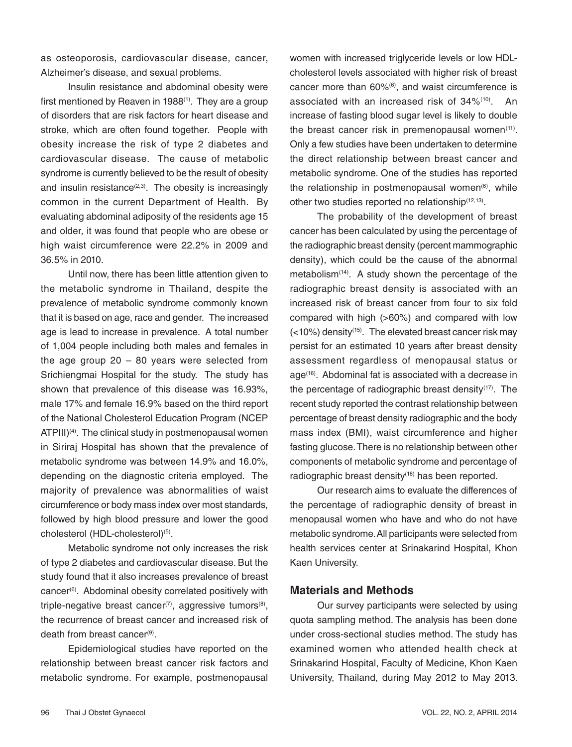as osteoporosis, cardiovascular disease, cancer, Alzheimer's disease, and sexual problems.

Insulin resistance and abdominal obesity were first mentioned by Reaven in 1988<sup>(1)</sup>. They are a group of disorders that are risk factors for heart disease and stroke, which are often found together. People with obesity increase the risk of type 2 diabetes and cardiovascular disease. The cause of metabolic syndrome is currently believed to be the result of obesity and insulin resistance $(2,3)$ . The obesity is increasingly common in the current Department of Health. By evaluating abdominal adiposity of the residents age 15 and older, it was found that people who are obese or high waist circumference were 22.2% in 2009 and 36.5% in 2010.

Until now, there has been little attention given to the metabolic syndrome in Thailand, despite the prevalence of metabolic syndrome commonly known that it is based on age, race and gender. The increased age is lead to increase in prevalence. A total number of 1,004 people including both males and females in the age group  $20 - 80$  years were selected from Srichiengmai Hospital for the study. The study has shown that prevalence of this disease was 16.93%, male 17% and female 16.9% based on the third report of the National Cholesterol Education Program (NCEP  $ATPIII$ <sup>(4)</sup>. The clinical study in postmenopausal women in Siriraj Hospital has shown that the prevalence of metabolic syndrome was between 14.9% and 16.0%, depending on the diagnostic criteria employed. The majority of prevalence was abnormalities of waist circumference or body mass index over most standards, followed by high blood pressure and lower the good cholesterol (HDL-cholesterol)<sup>(5)</sup>.

Metabolic syndrome not only increases the risk of type 2 diabetes and cardiovascular disease. But the study found that it also increases prevalence of breast cancer<sup>(6)</sup>. Abdominal obesity correlated positively with triple-negative breast cancer<sup>(7)</sup>, aggressive tumors<sup>(8)</sup>, the recurrence of breast cancer and increased risk of death from breast cancer(9).

Epidemiological studies have reported on the relationship between breast cancer risk factors and metabolic syndrome. For example, postmenopausal women with increased triglyceride levels or low HDLcholesterol levels associated with higher risk of breast cancer more than 60%(6), and waist circumference is associated with an increased risk of 34%(10). An increase of fasting blood sugar level is likely to double the breast cancer risk in premenopausal women<sup>(11)</sup>. Only a few studies have been undertaken to determine the direct relationship between breast cancer and metabolic syndrome. One of the studies has reported the relationship in postmenopausal women<sup>(6)</sup>, while other two studies reported no relationship(12,13).

The probability of the development of breast cancer has been calculated by using the percentage of the radiographic breast density (percent mammographic density), which could be the cause of the abnormal metabolism<sup> $(14)$ </sup>. A study shown the percentage of the radiographic breast density is associated with an increased risk of breast cancer from four to six fold compared with high (>60%) and compared with low  $(<$ 10%) density<sup>(15)</sup>. The elevated breast cancer risk may persist for an estimated 10 years after breast density assessment regardless of menopausal status or age(16). Abdominal fat is associated with a decrease in the percentage of radiographic breast density<sup>(17)</sup>. The recent study reported the contrast relationship between percentage of breast density radiographic and the body mass index (BMI), waist circumference and higher fasting glucose. There is no relationship between other components of metabolic syndrome and percentage of radiographic breast density $(18)$  has been reported.

Our research aims to evaluate the differences of the percentage of radiographic density of breast in menopausal women who have and who do not have metabolic syndrome. All participants were selected from health services center at Srinakarind Hospital, Khon Kaen University.

### **Materials and Methods**

Our survey participants were selected by using quota sampling method. The analysis has been done under cross-sectional studies method. The study has examined women who attended health check at Srinakarind Hospital, Faculty of Medicine, Khon Kaen University, Thailand, during May 2012 to May 2013.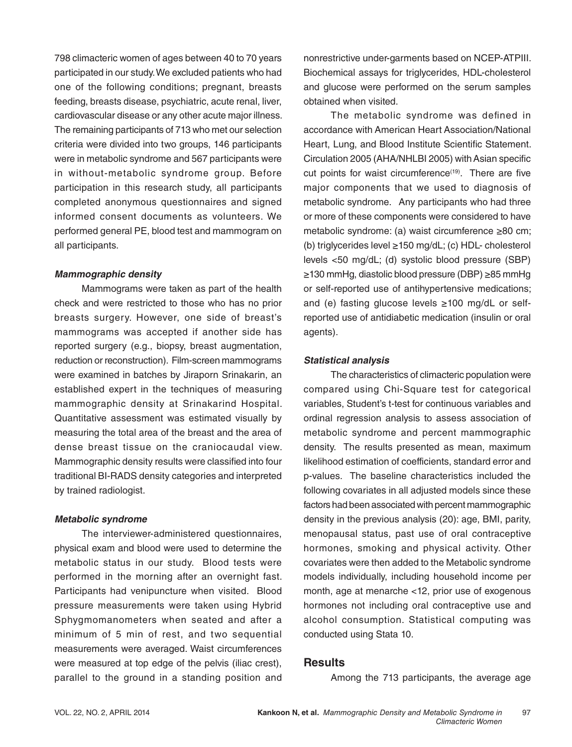798 climacteric women of ages between 40 to 70 years participated in our study. We excluded patients who had one of the following conditions; pregnant, breasts feeding, breasts disease, psychiatric, acute renal, liver, cardiovascular disease or any other acute major illness. The remaining participants of 713 who met our selection criteria were divided into two groups, 146 participants were in metabolic syndrome and 567 participants were in without-metabolic syndrome group. Before participation in this research study, all participants completed anonymous questionnaires and signed informed consent documents as volunteers. We performed general PE, blood test and mammogram on all participants.

### **Mammographic density**

 Mammograms were taken as part of the health check and were restricted to those who has no prior breasts surgery. However, one side of breast's mammograms was accepted if another side has reported surgery (e.g., biopsy, breast augmentation, reduction or reconstruction). Film-screen mammograms were examined in batches by Jiraporn Srinakarin, an established expert in the techniques of measuring mammographic density at Srinakarind Hospital. Quantitative assessment was estimated visually by measuring the total area of the breast and the area of dense breast tissue on the craniocaudal view. Mammographic density results were classified into four traditional BI-RADS density categories and interpreted by trained radiologist.

### **Metabolic syndrome**

The interviewer-administered questionnaires, physical exam and blood were used to determine the metabolic status in our study. Blood tests were performed in the morning after an overnight fast. Participants had venipuncture when visited. Blood pressure measurements were taken using Hybrid Sphygmomanometers when seated and after a minimum of 5 min of rest, and two sequential measurements were averaged. Waist circumferences were measured at top edge of the pelvis (iliac crest), parallel to the ground in a standing position and nonrestrictive under-garments based on NCEP-ATPIII. Biochemical assays for triglycerides, HDL-cholesterol and glucose were performed on the serum samples obtained when visited.

The metabolic syndrome was defined in accordance with American Heart Association/National Heart, Lung, and Blood Institute Scientific Statement. Circulation 2005 (AHA/NHLBI 2005) with Asian specific cut points for waist circumference<sup>(19)</sup>. There are five major components that we used to diagnosis of metabolic syndrome. Any participants who had three or more of these components were considered to have metabolic syndrome: (a) waist circumference ≥80 cm; (b) triglycerides level ≥150 mg/dL; (c) HDL- cholesterol levels <50 mg/dL; (d) systolic blood pressure (SBP) ≥130 mmHg, diastolic blood pressure (DBP) ≥85 mmHg or self-reported use of antihypertensive medications; and (e) fasting glucose levels ≥100 mg/dL or selfreported use of antidiabetic medication (insulin or oral agents).

### **Statistical analysis**

The characteristics of climacteric population were compared using Chi-Square test for categorical variables, Student's t-test for continuous variables and ordinal regression analysis to assess association of metabolic syndrome and percent mammographic density. The results presented as mean, maximum likelihood estimation of coefficients, standard error and p-values. The baseline characteristics included the following covariates in all adjusted models since these factors had been associated with percent mammographic density in the previous analysis (20): age, BMI, parity, menopausal status, past use of oral contraceptive hormones, smoking and physical activity. Other covariates were then added to the Metabolic syndrome models individually, including household income per month, age at menarche <12, prior use of exogenous hormones not including oral contraceptive use and alcohol consumption. Statistical computing was conducted using Stata 10.

### **Results**

Among the 713 participants, the average age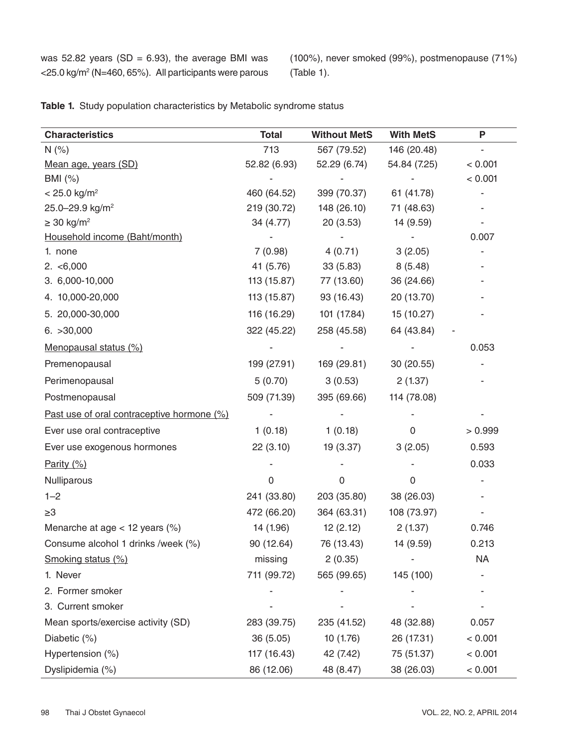was 52.82 years (SD = 6.93), the average BMI was <25.0 kg/m2 (N=460, 65%). All participants were parous (100%), never smoked (99%), postmenopause (71%) (Table 1).

| <b>Characteristics</b>                     | <b>Total</b> | <b>Without MetS</b> | <b>With MetS</b> | P       |
|--------------------------------------------|--------------|---------------------|------------------|---------|
| N(%)                                       | 713          | 567 (79.52)         | 146 (20.48)      | ٠       |
| Mean age, years (SD)                       | 52.82 (6.93) | 52.29 (6.74)        | 54.84 (7.25)     | < 0.001 |
| BMI (%)                                    |              |                     |                  | < 0.001 |
| $< 25.0$ kg/m <sup>2</sup>                 | 460 (64.52)  | 399 (70.37)         | 61 (41.78)       |         |
| 25.0-29.9 kg/m <sup>2</sup>                | 219 (30.72)  | 148 (26.10)         | 71 (48.63)       |         |
| $\geq$ 30 kg/m <sup>2</sup>                | 34 (4.77)    | 20(3.53)            | 14 (9.59)        |         |
| Household income (Baht/month)              |              |                     |                  | 0.007   |
| 1. none                                    | 7(0.98)      | 4(0.71)             | 3(2.05)          |         |
| 2. < 6,000                                 | 41 (5.76)    | 33(5.83)            | 8(5.48)          |         |
| 3. 6,000-10,000                            | 113 (15.87)  | 77 (13.60)          | 36 (24.66)       |         |
| 4. 10,000-20,000                           | 113 (15.87)  | 93 (16.43)          | 20 (13.70)       |         |
| 5. 20,000-30,000                           | 116 (16.29)  | 101 (17.84)         | 15 (10.27)       |         |
| 6. >30,000                                 | 322 (45.22)  | 258 (45.58)         | 64 (43.84)       |         |
| Menopausal status (%)                      |              |                     |                  | 0.053   |
| Premenopausal                              | 199 (27.91)  | 169 (29.81)         | 30(20.55)        |         |
| Perimenopausal                             | 5(0.70)      | 3(0.53)             | 2(1.37)          |         |
| Postmenopausal                             | 509 (71.39)  | 395 (69.66)         | 114 (78.08)      |         |
| Past use of oral contraceptive hormone (%) |              |                     |                  |         |
| Ever use oral contraceptive                | 1(0.18)      | 1(0.18)             | 0                | >0.999  |
| Ever use exogenous hormones                | 22(3.10)     | 19 (3.37)           | 3(2.05)          | 0.593   |
| Parity $(\%)$                              |              |                     |                  | 0.033   |
| Nulliparous                                | 0            | 0                   | 0                |         |
| $1 - 2$                                    | 241 (33.80)  | 203 (35.80)         | 38 (26.03)       |         |
| $\geq 3$                                   | 472 (66.20)  | 364 (63.31)         | 108 (73.97)      |         |
| Menarche at age < 12 years (%)             | 14 (1.96)    | 12(2.12)            | 2(1.37)          | 0.746   |
| Consume alcohol 1 drinks /week (%)         | 90 (12.64)   | 76 (13.43)          | 14 (9.59)        | 0.213   |
| Smoking status (%)                         | missing      | 2(0.35)             |                  | NA      |
| 1. Never                                   | 711 (99.72)  | 565 (99.65)         | 145 (100)        |         |
| 2. Former smoker                           |              |                     |                  |         |
| 3. Current smoker                          |              |                     |                  |         |
| Mean sports/exercise activity (SD)         | 283 (39.75)  | 235 (41.52)         | 48 (32.88)       | 0.057   |
| Diabetic (%)                               | 36(5.05)     | 10(1.76)            | 26 (17.31)       | < 0.001 |
| Hypertension (%)                           | 117 (16.43)  | 42 (7.42)           | 75 (51.37)       | < 0.001 |
| Dyslipidemia (%)                           | 86 (12.06)   | 48 (8.47)           | 38 (26.03)       | < 0.001 |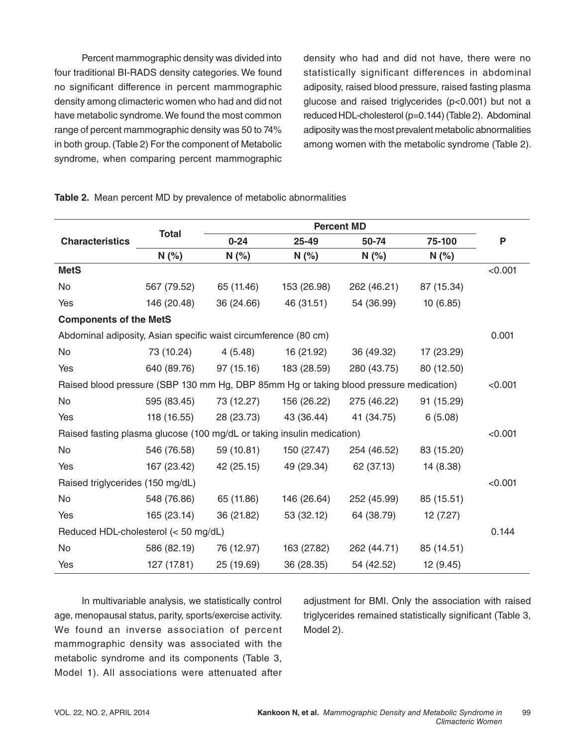Percent mammographic density was divided into four traditional BI-RADS density categories. We found no significant difference in percent mammographic density among climacteric women who had and did not have metabolic syndrome. We found the most common range of percent mammographic density was 50 to 74% in both group. (Table 2) For the component of Metabolic syndrome, when comparing percent mammographic

density who had and did not have, there were no statistically significant differences in abdominal adiposity, raised blood pressure, raised fasting plasma glucose and raised triglycerides (p<0.001) but not a reduced HDL-cholesterol (p=0.144) (Table 2). Abdominal adiposity was the most prevalent metabolic abnormalities among women with the metabolic syndrome (Table 2).

### **Characteristics Total Percent MD 0-24 25-49 50-74 75-100 P N (%) N (%) N (%) N (%) N (%) MetS** <0.001 No 567 (79.52) 65 (11.46) 153 (26.98) 262 (46.21) 87 (15.34) Yes 146 (20.48) 36 (24.66) 46 (31.51) 54 (36.99) 10 (6.85) **Components of the MetS** Abdominal adiposity, Asian specific waist circumference (80 cm) 0.001 No 73 (10.24) 4 (5.48) 16 (21.92) 36 (49.32) 17 (23.29) Yes 640 (89.76) 97 (15.16) 183 (28.59) 280 (43.75) 80 (12.50) Raised blood pressure (SBP 130 mm Hg, DBP 85mm Hg or taking blood pressure medication) <0.001 No 595 (83.45) 73 (12.27) 156 (26.22) 275 (46.22) 91 (15.29) Yes 118 (16.55) 28 (23.73) 43 (36.44) 41 (34.75) 6 (5.08) Raised fasting plasma glucose (100 mg/dL or taking insulin medication) <0.001 No 546 (76.58) 59 (10.81) 150 (27.47) 254 (46.52) 83 (15.20) Yes 167 (23.42) 42 (25.15) 49 (29.34) 62 (37.13) 14 (8.38) Raised triglycerides (150 mg/dL)  $\leq 0.001$ No 548 (76.86) 65 (11.86) 146 (26.64) 252 (45.99) 85 (15.51) Yes 165 (23.14) 36 (21.82) 53 (32.12) 64 (38.79) 12 (7.27) Reduced HDL-cholesterol (< 50 mg/dL) 0.144 No 586 (82.19) 76 (12.97) 163 (27.82) 262 (44.71) 85 (14.51) Yes 127 (17.81) 25 (19.69) 36 (28.35) 54 (42.52) 12 (9.45)

#### **Table 2.** Mean percent MD by prevalence of metabolic abnormalities

In multivariable analysis, we statistically control age, menopausal status, parity, sports/exercise activity. We found an inverse association of percent mammographic density was associated with the metabolic syndrome and its components (Table 3, Model 1). All associations were attenuated after

adjustment for BMI. Only the association with raised triglycerides remained statistically significant (Table 3, Model 2).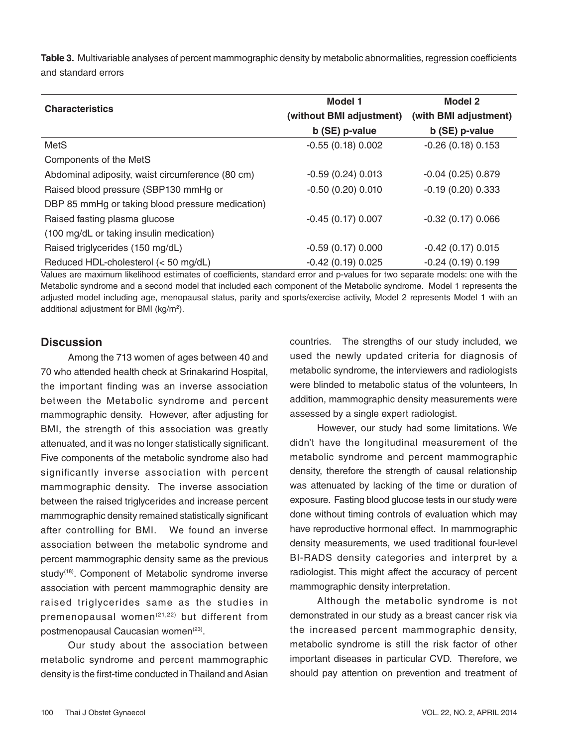**Table 3.** Multivariable analyses of percent mammographic density by metabolic abnormalities, regression coefficients and standard errors

|                                                  | <b>Model 1</b>           | <b>Model 2</b>        |  |
|--------------------------------------------------|--------------------------|-----------------------|--|
| <b>Characteristics</b>                           | (without BMI adjustment) | (with BMI adjustment) |  |
|                                                  | b (SE) p-value           | b (SE) p-value        |  |
| <b>MetS</b>                                      | $-0.55(0.18)0.002$       | $-0.26(0.18)0.153$    |  |
| Components of the MetS                           |                          |                       |  |
| Abdominal adiposity, waist circumference (80 cm) | $-0.59(0.24)0.013$       | $-0.04$ (0.25) 0.879  |  |
| Raised blood pressure (SBP130 mmHg or            | $-0.50(0.20)0.010$       | $-0.19(0.20)0.333$    |  |
| DBP 85 mmHg or taking blood pressure medication) |                          |                       |  |
| Raised fasting plasma glucose                    | $-0.45(0.17)0.007$       | $-0.32(0.17)0.066$    |  |
| (100 mg/dL or taking insulin medication)         |                          |                       |  |
| Raised triglycerides (150 mg/dL)                 | $-0.59(0.17)0.000$       | $-0.42$ (0.17) 0.015  |  |
| Reduced HDL-cholesterol (< 50 mg/dL)             | $-0.42(0.19)0.025$       | $-0.24(0.19)0.199$    |  |

Values are maximum likelihood estimates of coefficients, standard error and p-values for two separate models: one with the Metabolic syndrome and a second model that included each component of the Metabolic syndrome. Model 1 represents the adjusted model including age, menopausal status, parity and sports/exercise activity, Model 2 represents Model 1 with an additional adjustment for BMI (kg/m<sup>2</sup>).

### **Discussion**

Among the 713 women of ages between 40 and 70 who attended health check at Srinakarind Hospital, the important finding was an inverse association between the Metabolic syndrome and percent mammographic density. However, after adjusting for BMI, the strength of this association was greatly attenuated, and it was no longer statistically significant. Five components of the metabolic syndrome also had significantly inverse association with percent mammographic density. The inverse association between the raised triglycerides and increase percent mammographic density remained statistically significant after controlling for BMI. We found an inverse association between the metabolic syndrome and percent mammographic density same as the previous study<sup>(18)</sup>. Component of Metabolic syndrome inverse association with percent mammographic density are raised triglycerides same as the studies in premenopausal women<sup>(21,22)</sup> but different from postmenopausal Caucasian women<sup>(23)</sup>.

Our study about the association between metabolic syndrome and percent mammographic density is the first-time conducted in Thailand and Asian countries. The strengths of our study included, we used the newly updated criteria for diagnosis of metabolic syndrome, the interviewers and radiologists were blinded to metabolic status of the volunteers, In addition, mammographic density measurements were assessed by a single expert radiologist.

However, our study had some limitations. We didn't have the longitudinal measurement of the metabolic syndrome and percent mammographic density, therefore the strength of causal relationship was attenuated by lacking of the time or duration of exposure. Fasting blood glucose tests in our study were done without timing controls of evaluation which may have reproductive hormonal effect. In mammographic density measurements, we used traditional four-level BI-RADS density categories and interpret by a radiologist. This might affect the accuracy of percent mammographic density interpretation.

Although the metabolic syndrome is not demonstrated in our study as a breast cancer risk via the increased percent mammographic density, metabolic syndrome is still the risk factor of other important diseases in particular CVD. Therefore, we should pay attention on prevention and treatment of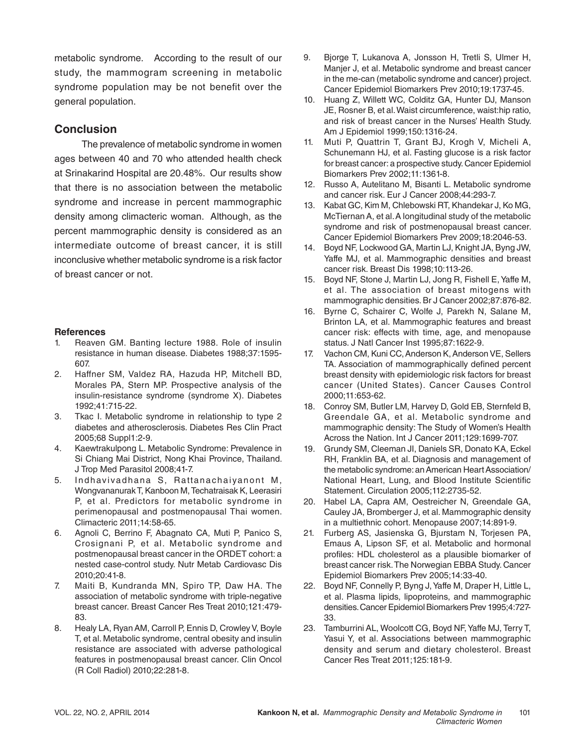metabolic syndrome. According to the result of our study, the mammogram screening in metabolic syndrome population may be not benefit over the general population.

### **Conclusion**

The prevalence of metabolic syndrome in women ages between 40 and 70 who attended health check at Srinakarind Hospital are 20.48%. Our results show that there is no association between the metabolic syndrome and increase in percent mammographic density among climacteric woman. Although, as the percent mammographic density is considered as an intermediate outcome of breast cancer, it is still inconclusive whether metabolic syndrome is a risk factor of breast cancer or not.

### **References**

- 1. Reaven GM. Banting lecture 1988. Role of insulin resistance in human disease. Diabetes 1988;37:1595- 607.
- 2. Haffner SM, Valdez RA, Hazuda HP, Mitchell BD, Morales PA, Stern MP. Prospective analysis of the insulin-resistance syndrome (syndrome X). Diabetes 1992;41:715-22.
- 3. Tkac I. Metabolic syndrome in relationship to type 2 diabetes and atherosclerosis. Diabetes Res Clin Pract 2005;68 Suppl1:2-9.
- 4. Kaewtrakulpong L. Metabolic Syndrome: Prevalence in Si Chiang Mai District, Nong Khai Province, Thailand. J Trop Med Parasitol 2008;41-7.
- 5. Indhavivadhana S, Rattanachaiyanont M, Wongvananurak T, Kanboon M, Techatraisak K, Leerasiri P, et al. Predictors for metabolic syndrome in perimenopausal and postmenopausal Thai women. Climacteric 2011;14:58-65.
- 6. Agnoli C, Berrino F, Abagnato CA, Muti P, Panico S, Crosignani P, et al. Metabolic syndrome and postmenopausal breast cancer in the ORDET cohort: a nested case-control study. Nutr Metab Cardiovasc Dis 2010;20:41-8.
- 7. Maiti B, Kundranda MN, Spiro TP, Daw HA. The association of metabolic syndrome with triple-negative breast cancer. Breast Cancer Res Treat 2010;121:479- 83.
- 8. Healy LA, Ryan AM, Carroll P, Ennis D, Crowley V, Boyle T, et al. Metabolic syndrome, central obesity and insulin resistance are associated with adverse pathological features in postmenopausal breast cancer. Clin Oncol (R Coll Radiol) 2010;22:281-8.
- 9. Bjorge T, Lukanova A, Jonsson H, Tretli S, Ulmer H, Manjer J, et al. Metabolic syndrome and breast cancer in the me-can (metabolic syndrome and cancer) project. Cancer Epidemiol Biomarkers Prev 2010;19:1737-45.
- 10. Huang Z, Willett WC, Colditz GA, Hunter DJ, Manson JE, Rosner B, et al. Waist circumference, waist:hip ratio, and risk of breast cancer in the Nurses' Health Study. Am J Epidemiol 1999;150:1316-24.
- 11. Muti P, Quattrin T, Grant BJ, Krogh V, Micheli A, Schunemann HJ, et al. Fasting glucose is a risk factor for breast cancer: a prospective study. Cancer Epidemiol Biomarkers Prev 2002;11:1361-8.
- 12. Russo A, Autelitano M, Bisanti L. Metabolic syndrome and cancer risk. Eur J Cancer 2008;44:293-7.
- 13. Kabat GC, Kim M, Chlebowski RT, Khandekar J, Ko MG, McTiernan A, et al. A longitudinal study of the metabolic syndrome and risk of postmenopausal breast cancer. Cancer Epidemiol Biomarkers Prev 2009;18:2046-53.
- 14. Boyd NF, Lockwood GA, Martin LJ, Knight JA, Byng JW, Yaffe MJ, et al. Mammographic densities and breast cancer risk. Breast Dis 1998;10:113-26.
- 15. Boyd NF, Stone J, Martin LJ, Jong R, Fishell E, Yaffe M, et al. The association of breast mitogens with mammographic densities. Br J Cancer 2002;87:876-82.
- 16. Byrne C, Schairer C, Wolfe J, Parekh N, Salane M, Brinton LA, et al. Mammographic features and breast cancer risk: effects with time, age, and menopause status. J Natl Cancer Inst 1995;87:1622-9.
- 17. Vachon CM, Kuni CC, Anderson K, Anderson VE, Sellers TA. Association of mammographically defined percent breast density with epidemiologic risk factors for breast cancer (United States). Cancer Causes Control 2000;11:653-62.
- 18. Conroy SM, Butler LM, Harvey D, Gold EB, Sternfeld B, Greendale GA, et al. Metabolic syndrome and mammographic density: The Study of Women's Health Across the Nation. Int J Cancer 2011;129:1699-707.
- 19. Grundy SM, Cleeman JI, Daniels SR, Donato KA, Eckel RH, Franklin BA, et al. Diagnosis and management of the metabolic syndrome: an American Heart Association/ National Heart, Lung, and Blood Institute Scientific Statement. Circulation 2005;112:2735-52.
- 20. Habel LA, Capra AM, Oestreicher N, Greendale GA, Cauley JA, Bromberger J, et al. Mammographic density in a multiethnic cohort. Menopause 2007;14:891-9.
- 21. Furberg AS, Jasienska G, Bjurstam N, Torjesen PA, Emaus A, Lipson SF, et al. Metabolic and hormonal profiles: HDL cholesterol as a plausible biomarker of breast cancer risk. The Norwegian EBBA Study. Cancer Epidemiol Biomarkers Prev 2005;14:33-40.
- 22. Boyd NF, Connelly P, Byng J, Yaffe M, Draper H, Little L, et al. Plasma lipids, lipoproteins, and mammographic densities. Cancer Epidemiol Biomarkers Prev 1995;4:727- 33.
- 23. Tamburrini AL, Woolcott CG, Boyd NF, Yaffe MJ, Terry T, Yasui Y, et al. Associations between mammographic density and serum and dietary cholesterol. Breast Cancer Res Treat 2011;125:181-9.